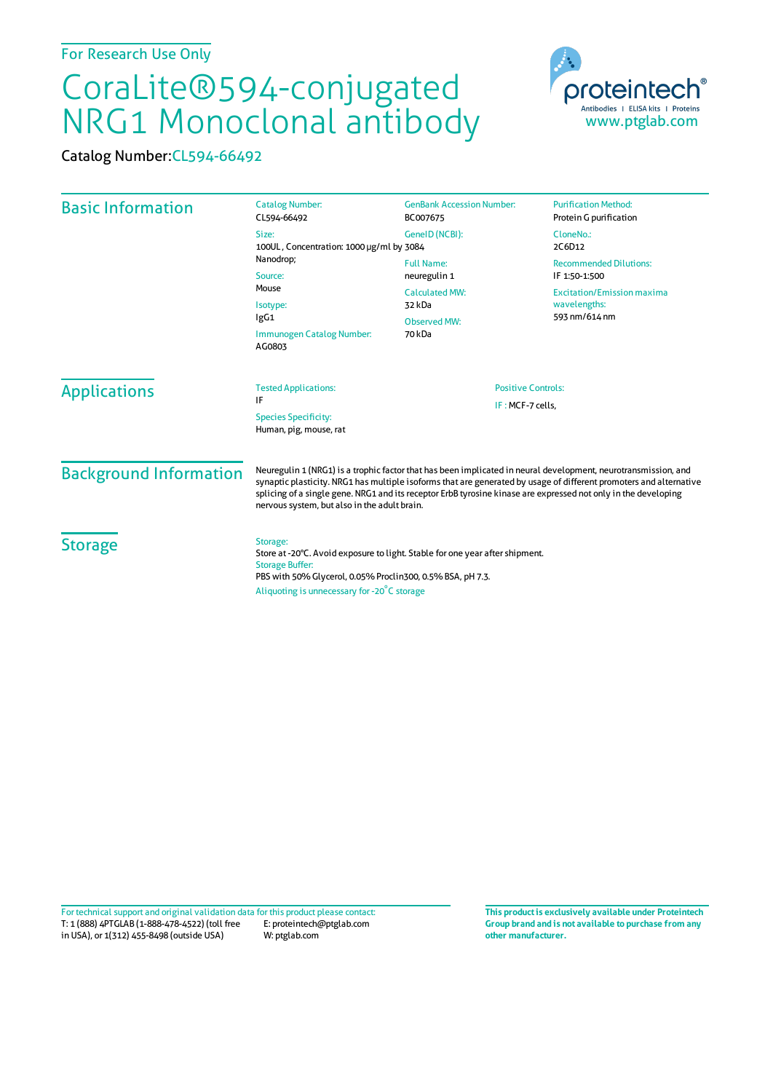## CoraLite®594-conjugated NRG1 Monoclonal antibody

Catalog Number:CL594-66492

| <b>Basic Information</b>      | <b>Catalog Number:</b><br>CL594-66492                                                                                                                                                                                                                                                                                                                                                                  | <b>GenBank Accession Number:</b><br>BC007675                                                          | <b>Purification Method:</b><br>Protein G purification                                                                |                     |                                                                                            |  |                                               |
|-------------------------------|--------------------------------------------------------------------------------------------------------------------------------------------------------------------------------------------------------------------------------------------------------------------------------------------------------------------------------------------------------------------------------------------------------|-------------------------------------------------------------------------------------------------------|----------------------------------------------------------------------------------------------------------------------|---------------------|--------------------------------------------------------------------------------------------|--|-----------------------------------------------|
|                               | Size:<br>100UL, Concentration: 1000 µg/ml by 3084                                                                                                                                                                                                                                                                                                                                                      | GeneID (NCBI):                                                                                        | CloneNo.:<br>2C6D12                                                                                                  |                     |                                                                                            |  |                                               |
|                               | Nanodrop;<br>Source:<br>Mouse<br>Isotype:<br>lgG1<br>Immunogen Catalog Number:                                                                                                                                                                                                                                                                                                                         | <b>Full Name:</b><br>neuregulin 1<br><b>Calculated MW:</b><br>32 kDa<br><b>Observed MW:</b><br>70 kDa | <b>Recommended Dilutions:</b><br>IF 1:50-1:500<br><b>Excitation/Emission maxima</b><br>wavelengths:<br>593 nm/614 nm |                     |                                                                                            |  |                                               |
|                               |                                                                                                                                                                                                                                                                                                                                                                                                        |                                                                                                       |                                                                                                                      |                     | AG0803                                                                                     |  |                                               |
|                               |                                                                                                                                                                                                                                                                                                                                                                                                        |                                                                                                       |                                                                                                                      | <b>Applications</b> | <b>Tested Applications:</b><br>IF<br><b>Species Specificity:</b><br>Human, pig, mouse, rat |  | <b>Positive Controls:</b><br>IF: MCF-7 cells, |
| <b>Background Information</b> | Neuregulin 1 (NRG1) is a trophic factor that has been implicated in neural development, neurotransmission, and<br>synaptic plasticity. NRG1 has multiple isoforms that are generated by usage of different promoters and alternative<br>splicing of a single gene. NRG1 and its receptor ErbB tyrosine kinase are expressed not only in the developing<br>nervous system, but also in the adult brain. |                                                                                                       |                                                                                                                      |                     |                                                                                            |  |                                               |
| <b>Storage</b>                | Storage:<br>Store at -20°C. Avoid exposure to light. Stable for one year after shipment.<br><b>Storage Buffer:</b><br>PBS with 50% Glycerol, 0.05% Proclin300, 0.5% BSA, pH 7.3.                                                                                                                                                                                                                       |                                                                                                       |                                                                                                                      |                     |                                                                                            |  |                                               |

Aliquoting is unnecessary for -20<sup>°</sup>C storage

T: 1 (888) 4PTGLAB (1-888-478-4522) (toll free in USA), or 1(312) 455-8498 (outside USA) E: proteintech@ptglab.com W: ptglab.com Fortechnical support and original validation data forthis product please contact: **This productis exclusively available under Proteintech**

**Group brand and is not available to purchase from any other manufacturer.**